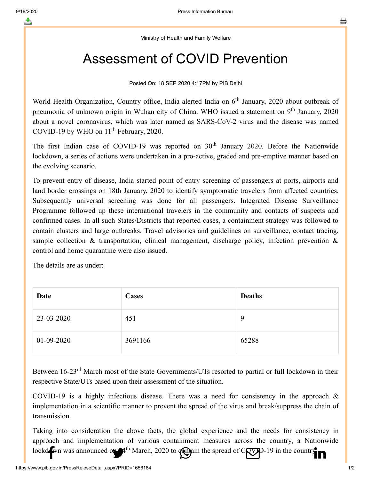Ministry of Health and Family Welfare

## Assessment of COVID Prevention

Posted On: 18 SEP 2020 4:17PM by PIB Delhi

World Health Organization, Country office, India alerted India on 6<sup>th</sup> January, 2020 about outbreak of pneumonia of unknown origin in Wuhan city of China. WHO issued a statement on 9<sup>th</sup> January, 2020 about a novel coronavirus, which was later named as SARS-CoV-2 virus and the disease was named COVID-19 by WHO on  $11<sup>th</sup>$  February, 2020.

The first Indian case of COVID-19 was reported on  $30<sup>th</sup>$  January 2020. Before the Nationwide lockdown, a series of actions were undertaken in a pro-active, graded and pre-emptive manner based on the evolving scenario.

To prevent entry of disease, India started point of entry screening of passengers at ports, airports and land border crossings on 18th January, 2020 to identify symptomatic travelers from affected countries. Subsequently universal screening was done for all passengers. Integrated Disease Surveillance Programme followed up these international travelers in the community and contacts of suspects and confirmed cases. In all such States/Districts that reported cases, a containment strategy was followed to contain clusters and large outbreaks. Travel advisories and guidelines on surveillance, contact tracing, sample collection & transportation, clinical management, discharge policy, infection prevention  $\&$ control and home quarantine were also issued.

The details are as under:

| Date         | <b>Cases</b> | <b>Deaths</b> |
|--------------|--------------|---------------|
| 23-03-2020   | 451          | 9             |
| $01-09-2020$ | 3691166      | 65288         |

Between 16-23<sup>rd</sup> March most of the State Governments/UTs resorted to partial or full lockdown in their respective State/UTs based upon their assessment of the situation.

COVID-19 is a highly infectious disease. There was a need for consistency in the approach & implementation in a scientific manner to prevent the spread of the virus and break/suppress the chain of transmission.

Taking into consideration the above facts, the global experience and the needs for consistency in approach and implementation of various containment measures across the count[ry, a Nationwide](https://www.linkedin.com/shareArticle?mini=true&url=https://pib.gov.in/PressReleasePage.aspx?PRID=1656184&title=Assessment%20of%20COVID%20Prevention&summary=My%20favorite%20developer%20program&source=LinkedIn) [lockdown was an](http://www.facebook.com/share.php?u=https://pib.gov.in/PressReleasePage.aspx?PRID=1656184)nounced on  $A<sup>th</sup>$  March, 2020 to  $\alpha$  and the sp[read of COVID-19 in th](https://mail.google.com/mail/?view=cm&fs=1&tf=1&to=&su=Assessment%20of%20COVID%20Prevention&body=https://pib.gov.in/PressReleasePage.aspx?PRID=1656184&ui=2&tf=1&pli=1)e country.